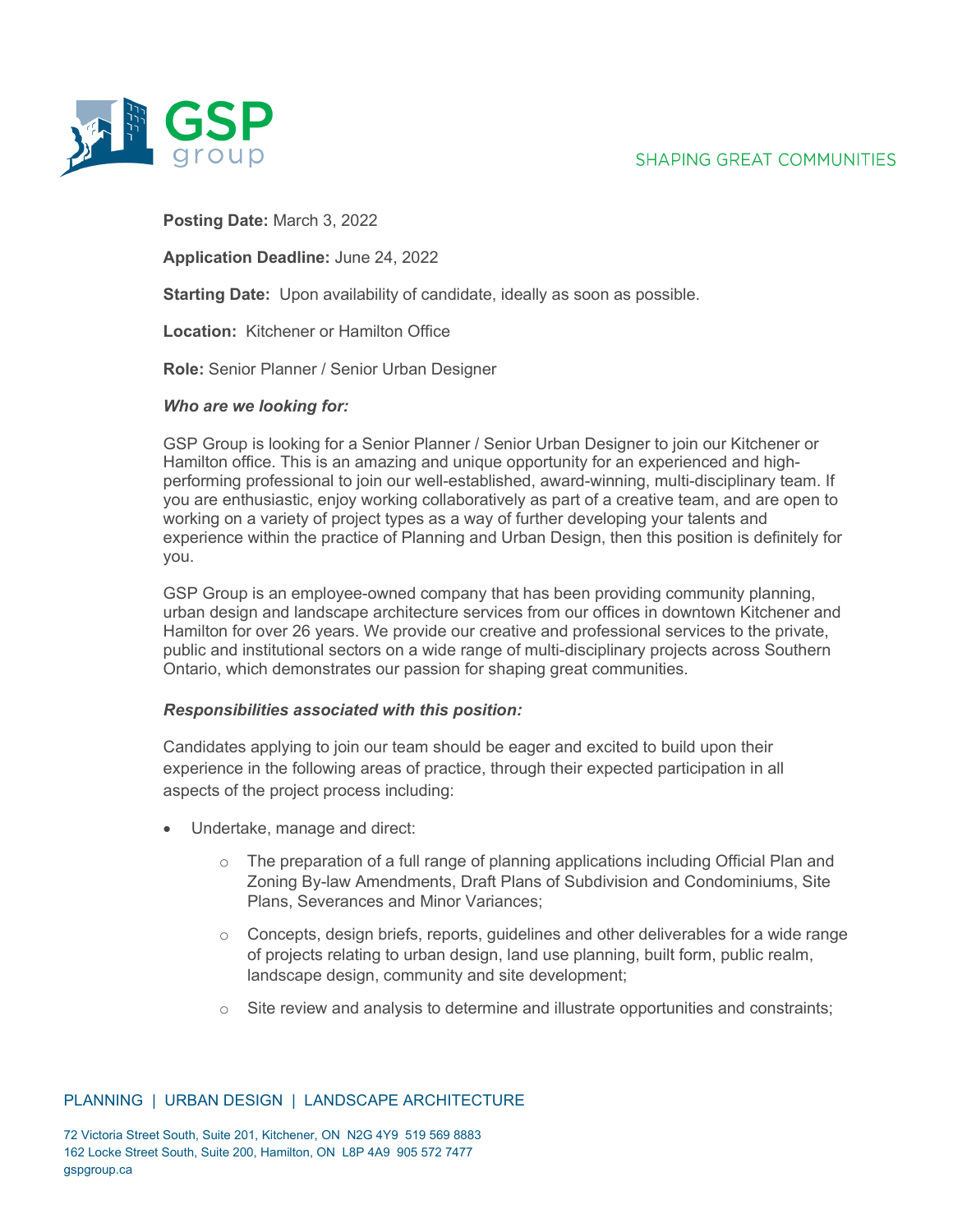# **SHAPING GREAT COMMUNITIES**



## **Posting Date:** March 3, 2022

**Application Deadline:** June 24, 2022

**Starting Date:** Upon availability of candidate, ideally as soon as possible.

**Location:** Kitchener or Hamilton Office

**Role:** Senior Planner / Senior Urban Designer

#### *Who are we looking for:*

GSP Group is looking for a Senior Planner / Senior Urban Designer to join our Kitchener or Hamilton office. This is an amazing and unique opportunity for an experienced and highperforming professional to join our well-established, award-winning, multi-disciplinary team. If you are enthusiastic, enjoy working collaboratively as part of a creative team, and are open to working on a variety of project types as a way of further developing your talents and experience within the practice of Planning and Urban Design, then this position is definitely for you.

GSP Group is an employee-owned company that has been providing community planning, urban design and landscape architecture services from our offices in downtown Kitchener and Hamilton for over 26 years. We provide our creative and professional services to the private, public and institutional sectors on a wide range of multi-disciplinary projects across Southern Ontario, which demonstrates our passion for shaping great communities.

## *Responsibilities associated with this position:*

Candidates applying to join our team should be eager and excited to build upon their experience in the following areas of practice, through their expected participation in all aspects of the project process including:

- Undertake, manage and direct:
	- $\circ$  The preparation of a full range of planning applications including Official Plan and Zoning By-law Amendments, Draft Plans of Subdivision and Condominiums, Site Plans, Severances and Minor Variances;
	- $\circ$  Concepts, design briefs, reports, guidelines and other deliverables for a wide range of projects relating to urban design, land use planning, built form, public realm, landscape design, community and site development;
	- $\circ$  Site review and analysis to determine and illustrate opportunities and constraints;

## PLANNING | URBAN DESIGN | LANDSCAPE ARCHITECTURE

72 Victoria Street South, Suite 201, Kitchener, ON N2G 4Y9 519 569 8883 162 Locke Street South, Suite 200, Hamilton, ON L8P 4A9 905 572 7477 gspgroup.ca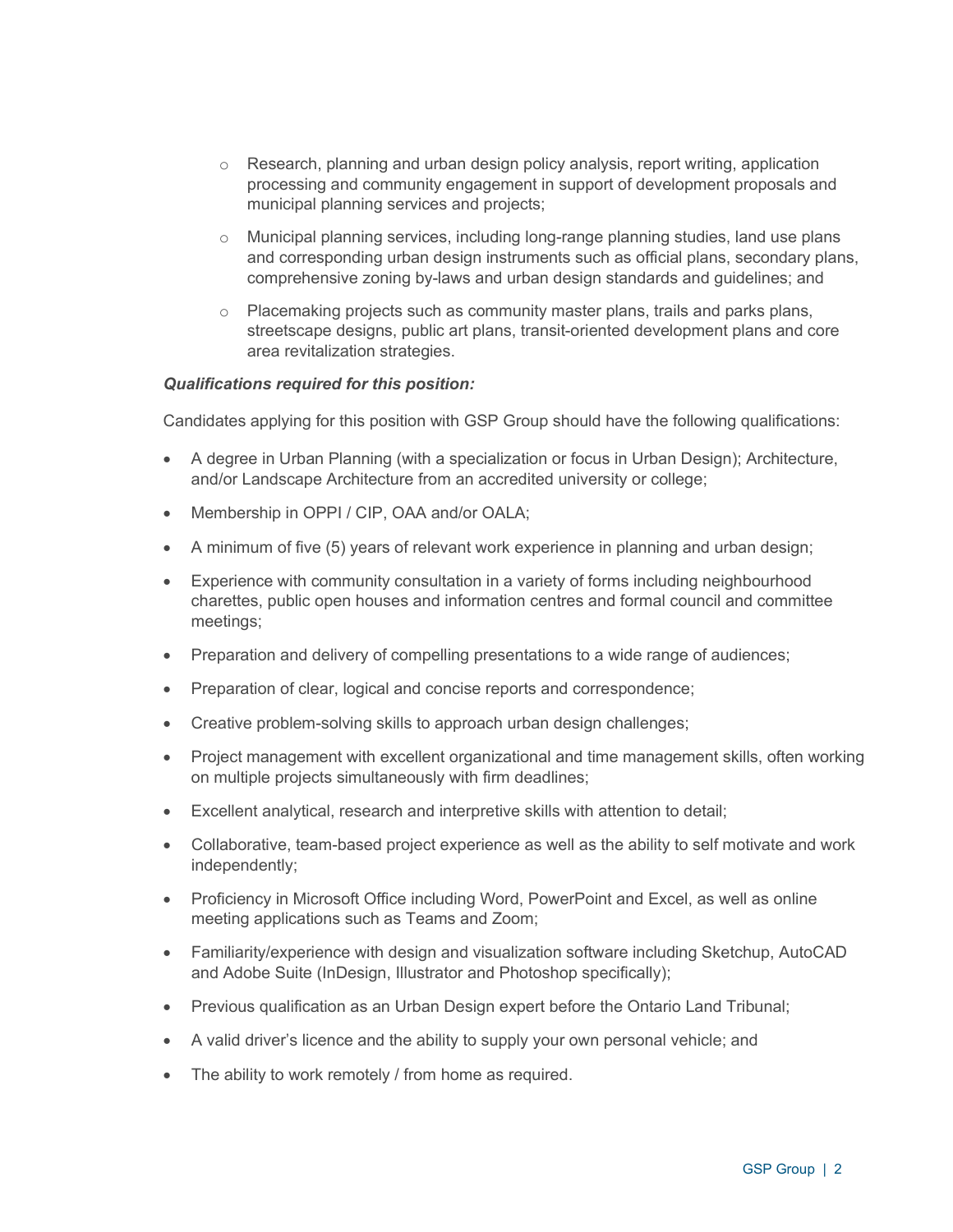- $\circ$  Research, planning and urban design policy analysis, report writing, application processing and community engagement in support of development proposals and municipal planning services and projects;
- $\circ$  Municipal planning services, including long-range planning studies, land use plans and corresponding urban design instruments such as official plans, secondary plans, comprehensive zoning by-laws and urban design standards and guidelines; and
- $\circ$  Placemaking projects such as community master plans, trails and parks plans, streetscape designs, public art plans, transit-oriented development plans and core area revitalization strategies.

## *Qualifications required for this position:*

Candidates applying for this position with GSP Group should have the following qualifications:

- A degree in Urban Planning (with a specialization or focus in Urban Design); Architecture, and/or Landscape Architecture from an accredited university or college;
- Membership in OPPI / CIP, OAA and/or OALA;
- A minimum of five (5) years of relevant work experience in planning and urban design;
- Experience with community consultation in a variety of forms including neighbourhood charettes, public open houses and information centres and formal council and committee meetings;
- Preparation and delivery of compelling presentations to a wide range of audiences;
- Preparation of clear, logical and concise reports and correspondence;
- Creative problem-solving skills to approach urban design challenges;
- Project management with excellent organizational and time management skills, often working on multiple projects simultaneously with firm deadlines;
- Excellent analytical, research and interpretive skills with attention to detail;
- Collaborative, team-based project experience as well as the ability to self motivate and work independently;
- Proficiency in Microsoft Office including Word, PowerPoint and Excel, as well as online meeting applications such as Teams and Zoom;
- Familiarity/experience with design and visualization software including Sketchup, AutoCAD and Adobe Suite (InDesign, Illustrator and Photoshop specifically);
- Previous qualification as an Urban Design expert before the Ontario Land Tribunal;
- A valid driver's licence and the ability to supply your own personal vehicle; and
- The ability to work remotely / from home as required.